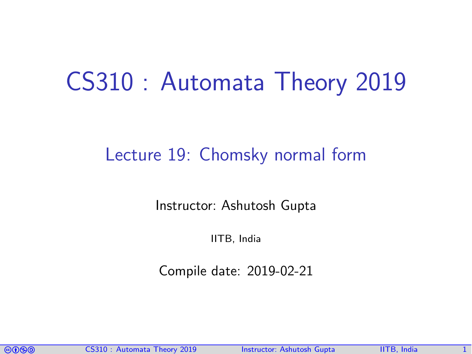# CS310 : Automata Theory 2019

### Lecture 19: Chomsky normal form

Instructor: [Ashutosh Gupta](http://www.cse.iitb.ac.in/~akg/)

IITB, India

Compile date: 2019-02-21

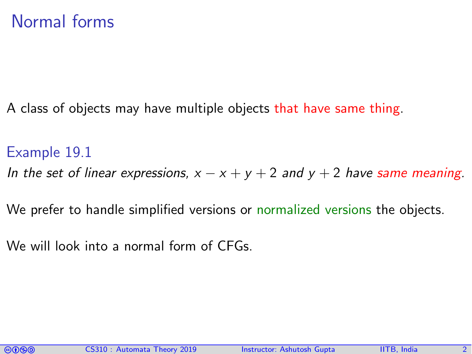### Normal forms

A class of objects may have multiple objects that have same thing.

#### Example 19.1

- In the set of linear expressions,  $x x + y + 2$  and  $y + 2$  have same meaning.
- We prefer to handle simplified versions or normalized versions the objects.
- We will look into a normal form of CFGs.

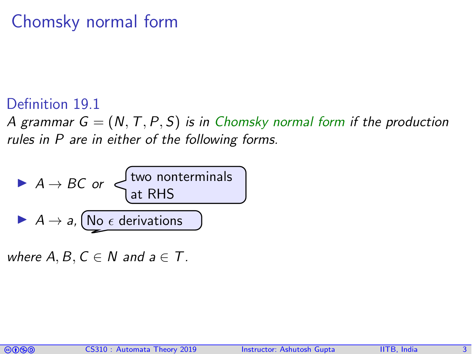## Chomsky normal form

#### Definition 19.1

A grammar  $G = (N, T, P, S)$  is in Chomsky normal form if the production rules in P are in either of the following forms.

► 
$$
A \rightarrow BC
$$
 or   
\nat RHS  
\n►  $A \rightarrow a$ , No  $\epsilon$  derivations

where  $A, B, C \in \mathbb{N}$  and  $a \in \mathbb{T}$ .

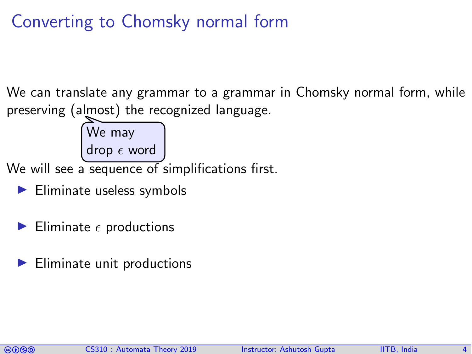# Converting to Chomsky normal form

We can translate any grammar to a grammar in Chomsky normal form, while preserving (almost) the recognized language.



We will see a sequence of simplifications first.

- $\blacktriangleright$  Eliminate useless symbols
- Eliminate  $\epsilon$  productions
- Eliminate unit productions

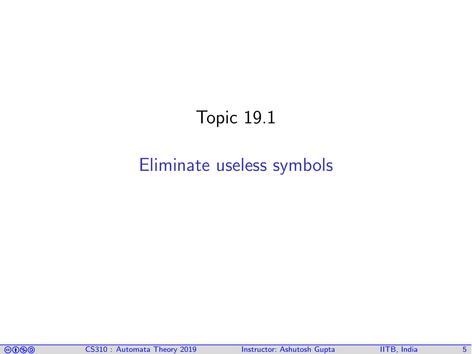# Topic 19.1

### <span id="page-4-0"></span>[Eliminate useless symbols](#page-4-0)

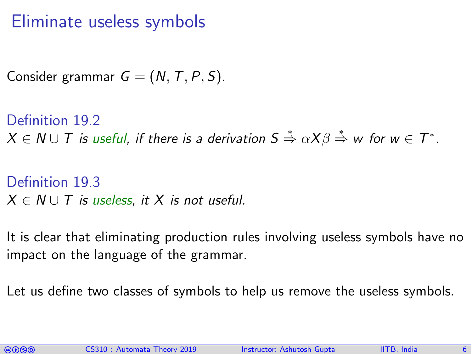### Eliminate useless symbols

Consider grammar  $G = (N, T, P, S)$ .

Definition 19.2  $X\in \mathsf{N}\cup \mathsf{T}$  is useful, if there is a derivation  $\mathsf{S}\overset{*}{\Rightarrow} \alpha \mathsf{X}\beta \overset{*}{\Rightarrow}$  w for  $\mathsf{w}\in \mathsf{T}^*.$ 

```
Definition 19.3
X \in N \cup T is useless, it X is not useful.
```
It is clear that eliminating production rules involving useless symbols have no impact on the language of the grammar.

Let us define two classes of symbols to help us remove the useless symbols.

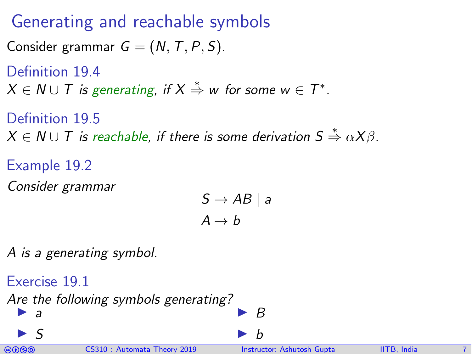## Generating and reachable symbols

Consider grammar  $G = (N, T, P, S)$ .

Definition 19.4

 $X \in N \cup T$  is generating, if  $X \stackrel{*}{\Rightarrow} w$  for some  $w \in T^*.$ 

Definition 19.5  $X \in \mathit{N} \cup \mathit{T}$  is reachable, if there is some derivation  $S \overset{*}{\Rightarrow} \alpha X \beta$ .

Example 19.2 Consider grammar

$$
S \to AB \mid a
$$

$$
A \to b
$$

A is a generating symbol.

comata Theory 2019 Instructor: [Ashutosh Gupta](http://www.cse.iitb.ac.in/~akg/) IITB, India 7. CS310 : Automata Theory 2019 Instructor: Ashutosh Gupta Exercise 19.1 Are the following symbols generating?  $\blacktriangleright$  a  $\blacktriangleright$  S I B I b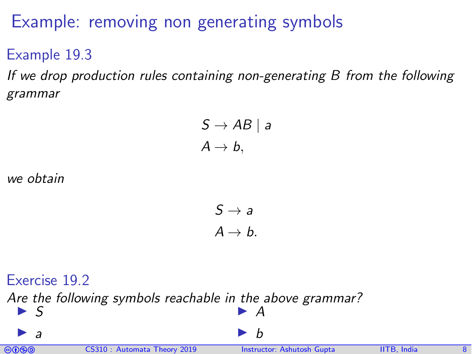## Example: removing non generating symbols

Example 19.3

If we drop production rules containing non-generating B from the following grammar

> $S \rightarrow AB \mid a$  $A \rightarrow b$ ,

we obtain

 $S \rightarrow a$  $A \rightarrow b$ .

#### Exercise 19.2

Are the following symbols reachable in the above grammar?  $\blacktriangleright$  S  $\blacktriangleright$  A



 $\blacktriangleright$  a

I b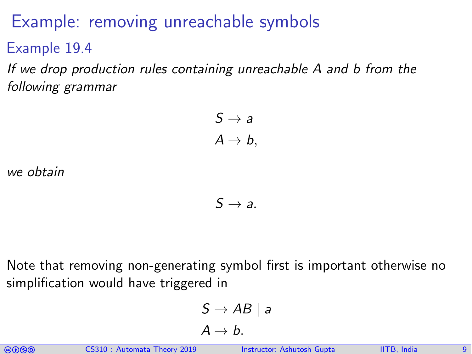### Example: removing unreachable symbols

Example 19.4

If we drop production rules containing unreachable A and b from the following grammar

> $S \rightarrow a$  $A \rightarrow b$ ,

we obtain

 $S \rightarrow a$ .

Note that removing non-generating symbol first is important otherwise no simplification would have triggered in

$$
S \to AB \mid a
$$

$$
A \to b.
$$

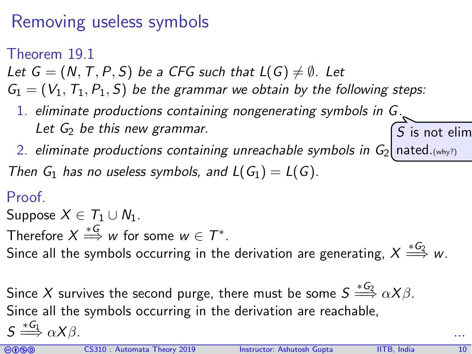# Removing useless symbols

Theorem 19.1

Let  $G = (N, T, P, S)$  be a CFG such that  $L(G) \neq \emptyset$ . Let

 $G_1 = (V_1, T_1, P_1, S)$  be the grammar we obtain by the following steps:

- 1. eliminate productions containing nongenerating symbols in G. Let  $G_2$  be this new grammar.  $\mathcal{S}% _{k}(G)$  is not elim
- 2. eliminate productions containing unreachable symbols in  $\mathsf{G}_{2}$  <code>nated</code>.(why?)

Then  $G_1$  has no useless symbols, and  $L(G_1) = L(G)$ .

#### Proof.

Suppose  $X \in T_1 \cup N_1$ .

Therefore  $X\stackrel{*G}{\Longrightarrow}w$  for some  $w\in \mathcal{T}^*.$ 

Since all the symbols occurring in the derivation are generating,  $X \stackrel{*G_2}{\Longrightarrow} w.$ 

Since  $X$  survives the second purge, there must be some  $S \stackrel{*G_2}{\Longrightarrow} \alpha X \beta.$ Since all the symbols occurring in the derivation are reachable,  $S \stackrel{*G_1}{\Longrightarrow} \alpha X \beta.$  ...

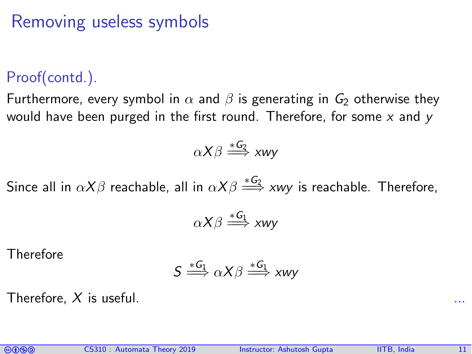### Removing useless symbols

#### Proof(contd.).

Furthermore, every symbol in  $\alpha$  and  $\beta$  is generating in  $G_2$  otherwise they would have been purged in the first round. Therefore, for some  $x$  and  $y$ 

$$
\alpha X\beta \stackrel{*G_2}{\Longrightarrow} xwy
$$

Since all in  $\alpha X\beta$  reachable, all in  $\alpha X\beta \stackrel{*G_2}{\Longrightarrow} xwy$  is reachable. Therefore,

$$
\alpha X\beta \stackrel{*G_1}{\Longrightarrow} xwy
$$

**Therefore** 

$$
S \stackrel{*G_1}{\Longrightarrow} \alpha X \beta \stackrel{*G_1}{\Longrightarrow} xwy
$$

Therefore,  $X$  is useful.

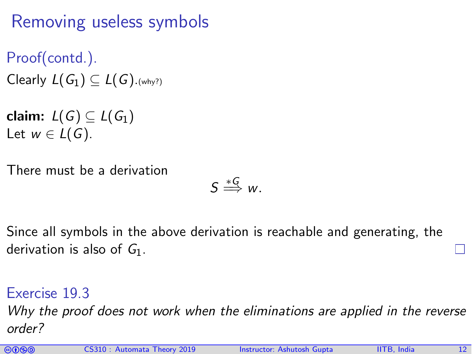# Removing useless symbols

Proof(contd.). Clearly  $L(G_1) \subseteq L(G)$ . (why?)

claim:  $L(G) \subset L(G_1)$ Let  $w \in L(G)$ .

There must be a derivation

$$
S \stackrel{*G}{\Longrightarrow} w.
$$

Since all symbols in the above derivation is reachable and generating, the derivation is also of  $G_1$ .

Exercise 19.3 Why the proof does not work when the eliminations are applied in the reverse order?

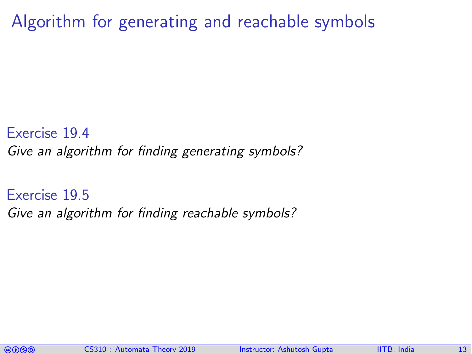Algorithm for generating and reachable symbols

Exercise 19.4 Give an algorithm for finding generating symbols?

Exercise 19.5 Give an algorithm for finding reachable symbols?

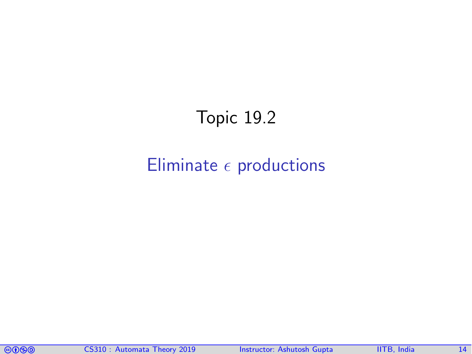# Topic 19.2

### <span id="page-13-0"></span>Eliminate  $\epsilon$  [productions](#page-13-0)

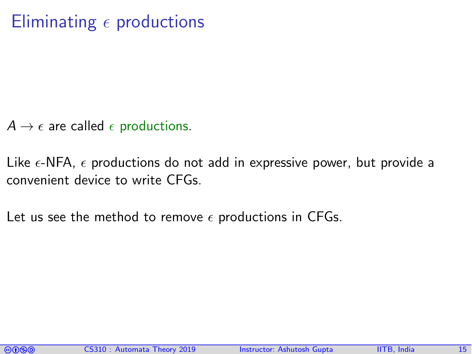# Eliminating  $\epsilon$  productions

- $A \rightarrow \epsilon$  are called  $\epsilon$  productions.
- Like  $\epsilon$ -NFA,  $\epsilon$  productions do not add in expressive power, but provide a convenient device to write CFGs.
- Let us see the method to remove  $\epsilon$  productions in CFGs.

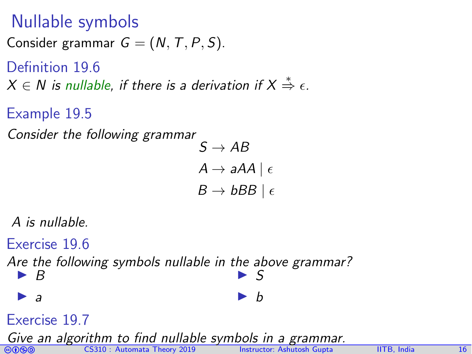### Nullable symbols

Consider grammar  $G = (N, T, P, S)$ .

Definition 19.6  $X \in N$  is nullable, if there is a derivation if  $X \stackrel{*}{\Rightarrow} \epsilon$ .

Example 19.5

Consider the following grammar

$$
A \rightarrow aAA \mid \epsilon
$$
  

$$
B \rightarrow bBB \mid \epsilon
$$

 $C \cap AB$ 

A is nullable.

Exercise 19.6 Are the following symbols nullable in the above grammar?  $\blacktriangleright$  B  $\blacktriangleright$  a  $\blacktriangleright$  S  $\mathbf b$ Exercise 19.7 Give an algorithm to find nullable symbols in a grammar.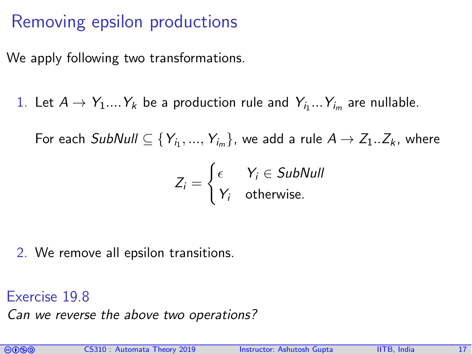## Removing epsilon productions

We apply following two transformations.

1. Let  $A \rightarrow Y_1....Y_k$  be a production rule and  $Y_{i_1}...Y_{i_m}$  are nullable.

For each  $SubNull\subseteq \{Y_{i_1},...,Y_{i_m}\},$  we add a rule  $A\rightarrow Z_1..Z_k$ , where

$$
Z_i = \begin{cases} \epsilon & Y_i \in SubNull \\ Y_i & \text{otherwise.} \end{cases}
$$

2. We remove all epsilon transitions.

Exercise 19.8

Can we reverse the above two operations?

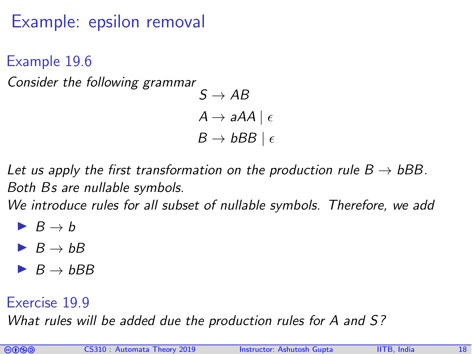# Example: epsilon removal

Example 19.6 Consider the following grammar  $S \rightarrow AB$  $A \rightarrow aAA \mid \epsilon$  $B \to bBB \mid \epsilon$ 

Let us apply the first transformation on the production rule  $B \to bBB$ . Both Bs are nullable symbols.

We introduce rules for all subset of nullable symbols. Therefore, we add

- $\blacktriangleright$   $B \rightarrow b$
- $\blacktriangleright$   $B \rightarrow bB$
- $\blacktriangleright$  B  $\rightarrow$  bBB

#### Exercise 19.9

What rules will be added due the production rules for A and S?

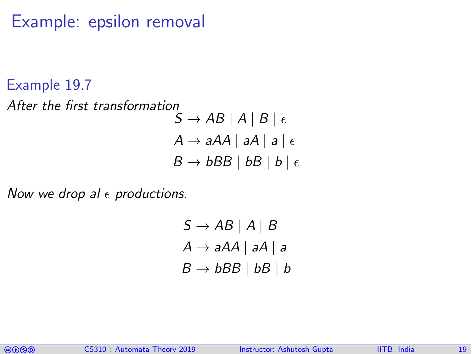### Example: epsilon removal

#### Example 19.7

After the first transformation  $S \rightarrow AB \mid A \mid B \mid \epsilon$  $A \rightarrow aAA \mid aA \mid a \mid \epsilon$  $B \to bBB \mid bB \mid b \mid \epsilon$ 

Now we drop al  $\epsilon$  productions.

$$
S \rightarrow AB \mid A \mid B
$$

$$
A \rightarrow aAA \mid aA \mid a
$$

$$
B \rightarrow bBB \mid bB \mid b
$$

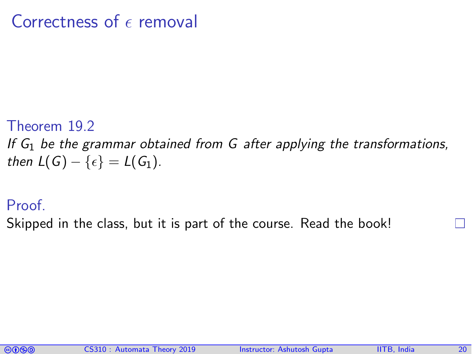### Correctness of  $\epsilon$  removal

#### Theorem 19.2

If  $G_1$  be the grammar obtained from G after applying the transformations, then  $L(G) - \{\epsilon\} = L(G_1)$ .

#### Proof.

Skipped in the class, but it is part of the course. Read the book!

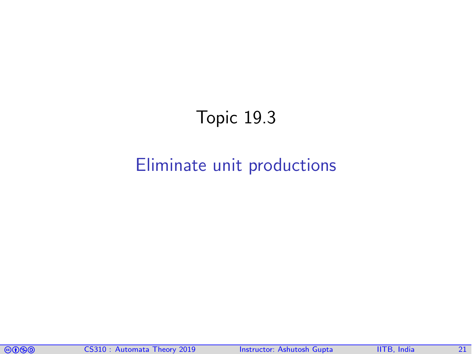# Topic 19.3

### <span id="page-20-0"></span>[Eliminate unit productions](#page-20-0)

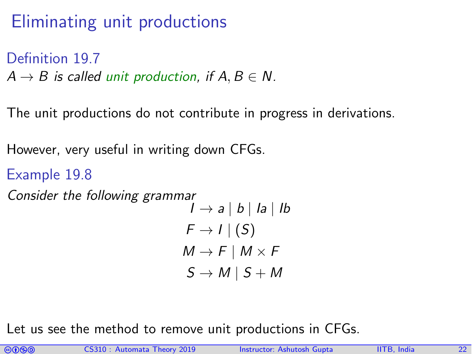# Eliminating unit productions

Definition 197

 $A \rightarrow B$  is called unit production, if  $A, B \in N$ .

The unit productions do not contribute in progress in derivations.

However, very useful in writing down CFGs.

```
Example 19.8
Consider the following grammar
                                            I \rightarrow a \mid b \mid Ia \mid IbF \rightarrow I | (S)M \rightarrow F \mid M \times FS \rightarrow M \mid S + M
```
Let us see the method to remove unit productions in CFGs.

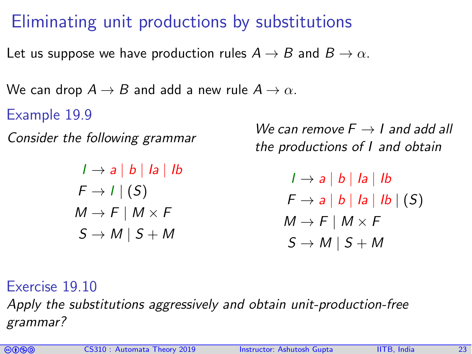# Eliminating unit productions by substitutions

Let us suppose we have production rules  $A \rightarrow B$  and  $B \rightarrow \alpha$ .

We can drop  $A \rightarrow B$  and add a new rule  $A \rightarrow \alpha$ .

Example 19.9

Consider the following grammar

 $I \rightarrow a \mid b \mid Ia \mid Ib$  $F \rightarrow I | (S)$  $M \to F \mid M \times F$  $S \rightarrow M \mid S + M$ 

We can remove  $F \rightarrow I$  and add all the productions of I and obtain

> $I \rightarrow a \mid b \mid Ia \mid Ib$  $F \rightarrow a \mid b \mid Ia \mid Ib \mid (S)$  $M \to F \mid M \times F$  $S \to M \mid S + M$

Exercise 19.10

Apply the substitutions aggressively and obtain unit-production-free grammar?

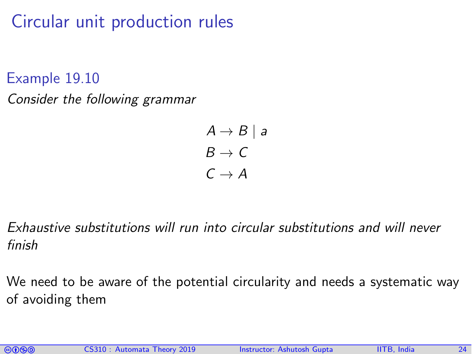Circular unit production rules

Example 19.10 Consider the following grammar

> $A \rightarrow B \mid a$  $B \to C$  $C \rightarrow A$

Exhaustive substitutions will run into circular substitutions and will never finish

We need to be aware of the potential circularity and needs a systematic way of avoiding them

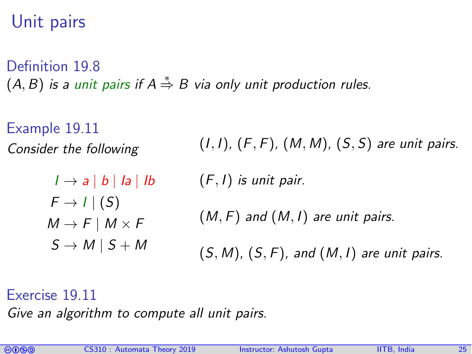# Unit pairs

Definition 19.8  $(A, B)$  is a unit pairs if  $A\overset{*}{\Rightarrow} B$  via only unit production rules.

Example 19.11 Consider the following

> $I \rightarrow a \mid b \mid Ia \mid Ib$  $F \rightarrow I | (S)$  $M \rightarrow F \mid M \times F$  $S \rightarrow M \mid S + M$

 $(I, I)$ ,  $(F, F)$ ,  $(M, M)$ ,  $(S, S)$  are unit pairs.

 $(F, I)$  is unit pair.

 $(M, F)$  and  $(M, I)$  are unit pairs.

 $(S, M)$ ,  $(S, F)$ , and  $(M, I)$  are unit pairs.

Exercise 19.11

Give an algorithm to compute all unit pairs.

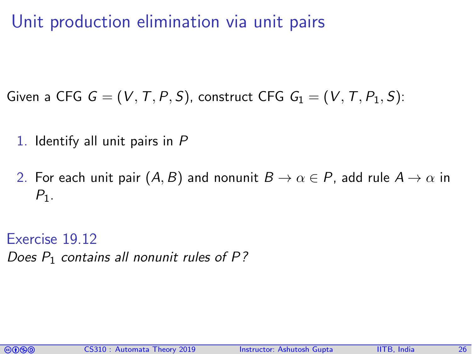Unit production elimination via unit pairs

Given a CFG  $G = (V, T, P, S)$ , construct CFG  $G_1 = (V, T, P_1, S)$ :

- 1. Identify all unit pairs in P
- 2. For each unit pair  $(A, B)$  and nonunit  $B \to \alpha \in P$ , add rule  $A \to \alpha$  in  $P_1$ .

Exercise 19.12 Does  $P_1$  contains all nonunit rules of P?

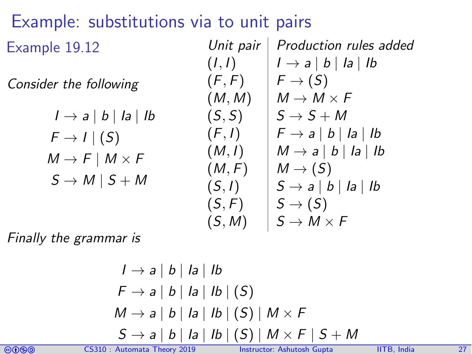# Example: substitutions via to unit pairs

Example 19.12

Consider the following

$$
I \rightarrow a | b | Ia | Ib
$$
  
\n
$$
F \rightarrow I | (S)
$$
  
\n
$$
M \rightarrow F | M \times F
$$
  
\n
$$
S \rightarrow M | S + M
$$

| Unit pair | Production rules added                   |
|-----------|------------------------------------------|
| $(I, I)$  | $I \rightarrow a \mid b \mid Ia \mid Ib$ |
| $(F, F)$  | $F \rightarrow (S)$                      |
| $(M, M)$  | $M \rightarrow M \times F$               |
| $(S, S)$  | $S \rightarrow S + M$                    |
| $(F, I)$  | $F \rightarrow a \mid b \mid Ia \mid Ib$ |
| $(M, I)$  | $M \rightarrow a \mid b \mid Ia \mid Ib$ |
| $(M, F)$  | $M \rightarrow (S)$                      |
| $(S, I)$  | $S \rightarrow a \mid b \mid Ia \mid Ib$ |
| $(S, F)$  | $S \rightarrow (S)$                      |
| $(S, M)$  | $S \rightarrow M \times F$               |

Finally the grammar is

$$
I \rightarrow a | b | l a | l b
$$
  
\n
$$
F \rightarrow a | b | l a | l b | (S)
$$
  
\n
$$
M \rightarrow a | b | l a | l b | (S) | M \times F
$$
  
\n
$$
S \rightarrow a | b | l a | l b | (S) | M \times F | S + M
$$



comata Theory 2019 Instructor: [Ashutosh Gupta](http://www.cse.iitb.ac.in/~akg/) IITB, India 27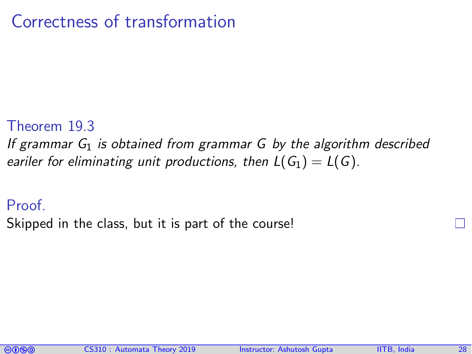### Correctness of transformation

#### Theorem 19.3

If grammar  $G_1$  is obtained from grammar G by the algorithm described eariler for eliminating unit productions, then  $L(G_1) = L(G)$ .

#### Proof.

Skipped in the class, but it is part of the course!

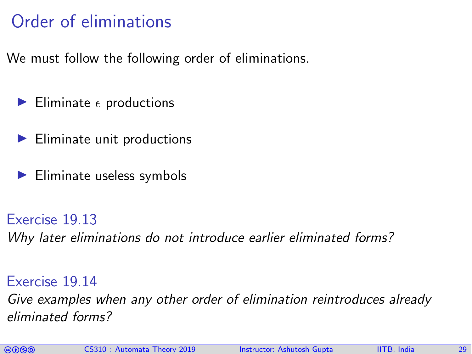# Order of eliminations

We must follow the following order of eliminations.

- Eliminate  $\epsilon$  productions
- Eliminate unit productions
- $\blacktriangleright$  Eliminate useless symbols

#### Exercise 19.13

Why later eliminations do not introduce earlier eliminated forms?

#### Exercise 19.14

Give examples when any other order of elimination reintroduces already eliminated forms?

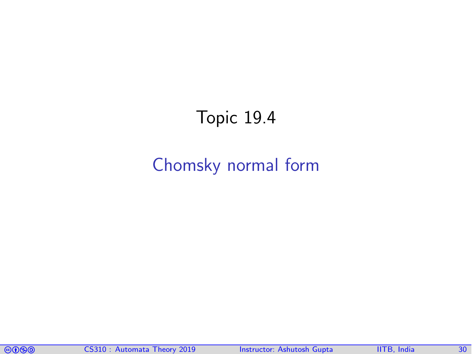# Topic 19.4

### <span id="page-29-0"></span>[Chomsky normal form](#page-29-0)

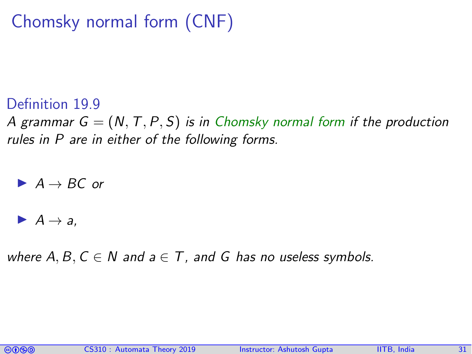# Chomsky normal form (CNF)

#### Definition 19.9

A grammar  $G = (N, T, P, S)$  is in Chomsky normal form if the production rules in P are in either of the following forms.

 $A \rightarrow BC$  or

$$
\blacktriangleright A \to a,
$$

where A, B,  $C \in N$  and  $a \in T$ , and G has no useless symbols.

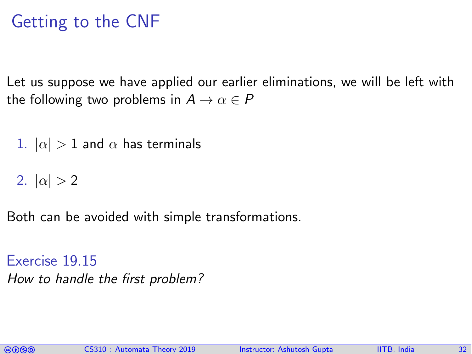## Getting to the CNF

Let us suppose we have applied our earlier eliminations, we will be left with the following two problems in  $A \to \alpha \in P$ 

1.  $|\alpha| > 1$  and  $\alpha$  has terminals

2.  $|\alpha| > 2$ 

Both can be avoided with simple transformations.

Exercise 19.15 How to handle the first problem?

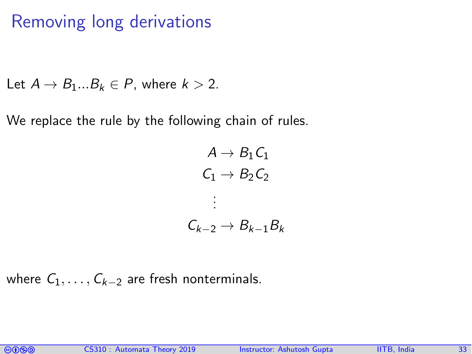### Removing long derivations

Let  $A \rightarrow B_1...B_k \in P$ , where  $k > 2$ .

We replace the rule by the following chain of rules.

 $A \rightarrow B_1 C_1$  $C_1 \rightarrow B_2C_2$ . . .  $C_{k-2} \rightarrow B_{k-1}B_k$ 

where  $C_1, \ldots, C_{k-2}$  are fresh nonterminals.

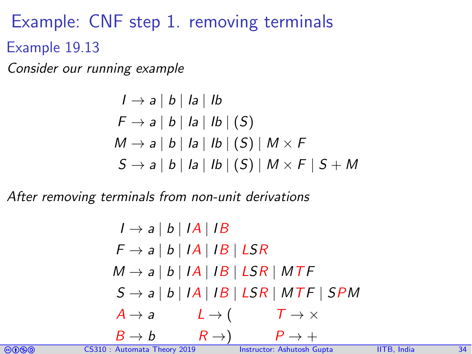Example: CNF step 1. removing terminals Example 19.13

Consider our running example

$$
I \rightarrow a \mid b \mid Ia \mid Ib
$$
  
\n
$$
F \rightarrow a \mid b \mid Ia \mid Ib \mid (S)
$$
  
\n
$$
M \rightarrow a \mid b \mid Ia \mid Ib \mid (S) \mid M \times F
$$
  
\n
$$
S \rightarrow a \mid b \mid Ia \mid Ib \mid (S) \mid M \times F \mid S + M
$$

After removing terminals from non-unit derivations

$$
I \rightarrow a | b | IA | IB
$$
  
\n
$$
F \rightarrow a | b | IA | IB | LSR
$$
  
\n
$$
M \rightarrow a | b | IA | IB | LSR | MTF
$$
  
\n
$$
S \rightarrow a | b | IA | IB | LSR | MTF | SPM
$$
  
\n
$$
A \rightarrow a \qquad L \rightarrow (\qquad T \rightarrow \times
$$
  
\n
$$
B \rightarrow b \qquad R \rightarrow) \qquad P \rightarrow +
$$

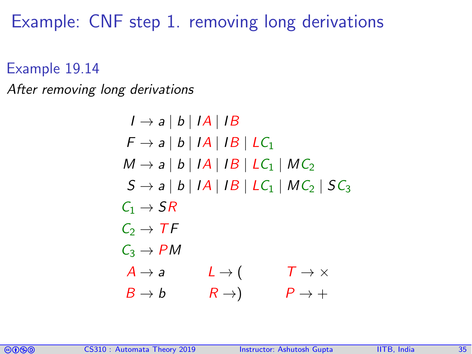Example: CNF step 1. removing long derivations

Example 19.14

After removing long derivations

 $I \rightarrow a \mid b \mid IA \mid IB$  $F \rightarrow a \mid b \mid IA \mid IB \mid LC_1$  $M \rightarrow a \mid b \mid IA \mid IB \mid LC_1 \mid MC_2$  $S \rightarrow a \mid b \mid IA \mid IB \mid LC_1 \mid MC_2 \mid SC_3$  $C_1 \rightarrow SR$  $C_2 \rightarrow TF$  $C_3 \rightarrow PM$  $A \rightarrow a$   $L \rightarrow ($   $T \rightarrow \times$  $B \to b$   $R \to$ )  $P \to +$